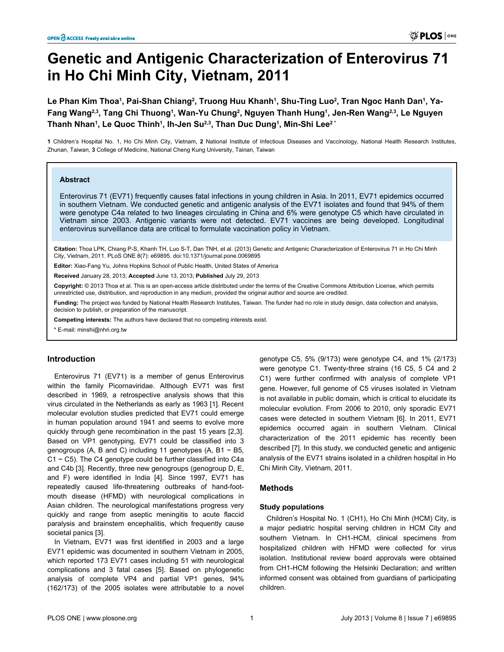# **Genetic and Antigenic Characterization of Enterovirus 71 in Ho Chi Minh City, Vietnam, 2011**

 $L$ e Phan Kim Thoa<sup>1</sup>, Pai-Shan Chiang<sup>2</sup>, Truong Huu Khanh<sup>1</sup>, Shu-Ting Luo<sup>2</sup>, Tran Ngoc Hanh Dan<sup>1</sup>, Ya-**Fang Wang2,3, Tang Chi Thuong<sup>1</sup> , Wan-Yu Chung<sup>2</sup> , Nguyen Thanh Hung<sup>1</sup> , Jen-Ren Wang2,3, Le Nguyen Thanh Nhan<sup>1</sup> , Le Quoc Thinh<sup>1</sup> , Ih-Jen Su2,3, Than Duc Dung<sup>1</sup> , Min-Shi Lee2 \***

**1** Children's Hospital No. 1, Ho Chi Minh City, Vietnam, **2** National Institute of Infectious Diseases and Vaccinology, National Health Research Institutes, Zhunan, Taiwan, **3** College of Medicine, National Cheng Kung University, Tainan, Taiwan

#### **Abstract**

Enterovirus 71 (EV71) frequently causes fatal infections in young children in Asia. In 2011, EV71 epidemics occurred in southern Vietnam. We conducted genetic and antigenic analysis of the EV71 isolates and found that 94% of them were genotype C4a related to two lineages circulating in China and 6% were genotype C5 which have circulated in Vietnam since 2003. Antigenic variants were not detected. EV71 vaccines are being developed. Longitudinal enterovirus surveillance data are critical to formulate vaccination policy in Vietnam.

**Citation:** Thoa LPK, Chiang P-S, Khanh TH, Luo S-T, Dan TNH, et al. (2013) Genetic and Antigenic Characterization of Enterovirus 71 in Ho Chi Minh City, Vietnam, 2011. PLoS ONE 8(7): e69895. doi:10.1371/journal.pone.0069895

**Editor:** Xiao-Fang Yu, Johns Hopkins School of Public Health, United States of America

**Received** January 28, 2013; **Accepted** June 13, 2013; **Published** July 29, 2013

**Copyright:** © 2013 Thoa et al. This is an open-access article distributed under the terms of the Creative Commons Attribution License, which permits unrestricted use, distribution, and reproduction in any medium, provided the original author and source are credited.

**Funding:** The project was funded by National Health Research Institutes, Taiwan. The funder had no role in study design, data collection and analysis, decision to publish, or preparation of the manuscript.

**Competing interests:** The authors have declared that no competing interests exist.

\* E-mail: minshi@nhri.org.tw

# **Introduction**

Enterovirus 71 (EV71) is a member of genus Enterovirus within the family Picornaviridae. Although EV71 was first described in 1969, a retrospective analysis shows that this virus circulated in the Netherlands as early as 1963 [\[1](#page-4-0)]. Recent molecular evolution studies predicted that EV71 could emerge in human population around 1941 and seems to evolve more quickly through gene recombination in the past 15 years [[2,3\]](#page-4-0). Based on VP1 genotyping, EV71 could be classified into 3 genogroups (A, B and C) including 11 genotypes (A, B1  $\sim$  B5,  $C1 \sim C5$ ). The C4 genotype could be further classified into C4a and C4b [[3](#page-4-0)]. Recently, three new genogroups (genogroup D, E, and F) were identified in India [[4\]](#page-4-0). Since 1997, EV71 has repeatedly caused life-threatening outbreaks of hand-footmouth disease (HFMD) with neurological complications in Asian children. The neurological manifestations progress very quickly and range from aseptic meningitis to acute flaccid paralysis and brainstem encephalitis, which frequently cause societal panics [\[3\]](#page-4-0).

In Vietnam, EV71 was first identified in 2003 and a large EV71 epidemic was documented in southern Vietnam in 2005, which reported 173 EV71 cases including 51 with neurological complications and 3 fatal cases [[5\]](#page-4-0). Based on phylogenetic analysis of complete VP4 and partial VP1 genes, 94% (162/173) of the 2005 isolates were attributable to a novel genotype C5, 5% (9/173) were genotype C4, and 1% (2/173) were genotype C1. Twenty-three strains (16 C5, 5 C4 and 2 C1) were further confirmed with analysis of complete VP1 gene. However, full genome of C5 viruses isolated in Vietnam is not available in public domain, which is critical to elucidate its molecular evolution. From 2006 to 2010, only sporadic EV71 cases were detected in southern Vietnam [[6](#page-4-0)]. In 2011, EV71 epidemics occurred again in southern Vietnam. Clinical characterization of the 2011 epidemic has recently been described [\[7\]](#page-4-0). In this study, we conducted genetic and antigenic analysis of the EV71 strains isolated in a children hospital in Ho Chi Minh City, Vietnam, 2011.

# **Methods**

#### **Study populations**

Children's Hospital No. 1 (CH1), Ho Chi Minh (HCM) City, is a major pediatric hospital serving children in HCM City and southern Vietnam. In CH1-HCM, clinical specimens from hospitalized children with HFMD were collected for virus isolation. Institutional review board approvals were obtained from CH1-HCM following the Helsinki Declaration; and written informed consent was obtained from guardians of participating children.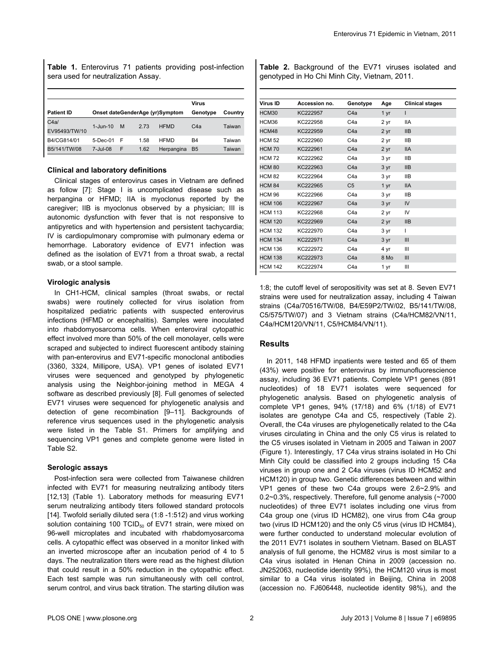**Table 1.** Enterovirus 71 patients providing post-infection sera used for neutralization Assay.

|                   |                 |   |      |                                 | Virus            |         |
|-------------------|-----------------|---|------|---------------------------------|------------------|---------|
| <b>Patient ID</b> |                 |   |      | Onset dateGenderAge (yr)Symptom | Genotype         | Country |
| C4a/              | $1 -$ Jun $-10$ | M | 2.73 | <b>HFMD</b>                     | C <sub>4</sub> a | Taiwan  |
| EV95493/TW/10     |                 |   |      |                                 |                  |         |
| B4/CG814/01       | $5$ -Dec-01     | F | 1.58 | <b>HFMD</b>                     | B <sub>4</sub>   | Taiwan  |
| B5/141/TW/08      | 7-Jul-08        | F | 1.62 | Herpangina                      | B <sub>5</sub>   | Taiwan  |

## **Clinical and laboratory definitions**

Clinical stages of enterovirus cases in Vietnam are defined as follow [[7\]](#page-4-0): Stage I is uncomplicated disease such as herpangina or HFMD; IIA is myoclonus reported by the caregiver; IIB is myoclonus observed by a physician; III is autonomic dysfunction with fever that is not responsive to antipyretics and with hypertension and persistent tachycardia; IV is cardiopulmonary compromise with pulmonary edema or hemorrhage. Laboratory evidence of EV71 infection was defined as the isolation of EV71 from a throat swab, a rectal swab, or a stool sample.

#### **Virologic analysis**

In CH1-HCM, clinical samples (throat swabs, or rectal swabs) were routinely collected for virus isolation from hospitalized pediatric patients with suspected enterovirus infections (HFMD or encephalitis). Samples were inoculated into rhabdomyosarcoma cells. When enteroviral cytopathic effect involved more than 50% of the cell monolayer, cells were scraped and subjected to indirect fluorescent antibody staining with pan-enterovirus and EV71-specific monoclonal antibodies (3360, 3324, Millipore, USA). VP1 genes of isolated EV71 viruses were sequenced and genotyped by phylogenetic analysis using the Neighbor-joining method in MEGA 4 software as described previously [[8\]](#page-5-0). Full genomes of selected EV71 viruses were sequenced for phylogenetic analysis and detection of gene recombination [\[9–11\]](#page-5-0). Backgrounds of reference virus sequences used in the phylogenetic analysis were listed in the [Table S1](#page-4-0). Primers for amplifying and sequencing VP1 genes and complete genome were listed in [Table S2.](#page-4-0)

## **Serologic assays**

Post-infection sera were collected from Taiwanese children infected with EV71 for measuring neutralizing antibody titers [[12](#page-5-0),[13](#page-5-0)] (Table 1). Laboratory methods for measuring EV71 serum neutralizing antibody titers followed standard protocols [[14](#page-5-0)]. Twofold serially diluted sera (1:8 -1:512) and virus working solution containing 100 TCID $_{50}$  of EV71 strain, were mixed on 96-well microplates and incubated with rhabdomyosarcoma cells. A cytopathic effect was observed in a monitor linked with an inverted microscope after an incubation period of 4 to 5 days. The neutralization titers were read as the highest dilution that could result in a 50% reduction in the cytopathic effect. Each test sample was run simultaneously with cell control, serum control, and virus back titration. The starting dilution was

**Table 2.** Background of the EV71 viruses isolated and genotyped in Ho Chi Minh City, Vietnam, 2011.

| Virus ID       | Accession no. | Genotype         | Age             | <b>Clinical stages</b> |
|----------------|---------------|------------------|-----------------|------------------------|
| HCM30          | KC222957      | C <sub>4</sub> a | 1 yr            | ı                      |
| HCM36          | KC222958      | C4a              | 2 yr            | <b>IIA</b>             |
| HCM48          | KC222959      | C4a              | 2 yr            | IIB                    |
| <b>HCM 52</b>  | KC222960      | C <sub>4</sub> a | 2 yr            | <b>IIB</b>             |
| <b>HCM 70</b>  | KC222961      | C <sub>4</sub> a | 2 yr            | <b>IIA</b>             |
| <b>HCM72</b>   | KC222962      | C <sub>4</sub> a | 3 yr            | <b>IIB</b>             |
| <b>HCM 80</b>  | KC222963      | C <sub>4</sub> a | 3 yr            | IIB                    |
| <b>HCM 82</b>  | KC222964      | C <sub>4</sub> a | 3 yr            | <b>IIB</b>             |
| <b>HCM 84</b>  | KC222965      | C <sub>5</sub>   | 1 yr            | <b>IIA</b>             |
| <b>HCM 96</b>  | KC222966      | C <sub>4</sub> a | 3 yr            | <b>IIB</b>             |
| <b>HCM 106</b> | KC222967      | C4a              | 3 <sub>vr</sub> | IV                     |
| <b>HCM 113</b> | KC222968      | C <sub>4</sub> a | 2 yr            | IV                     |
| <b>HCM 120</b> | KC222969      | C4a              | 2 yr            | IIB                    |
| <b>HCM 132</b> | KC222970      | C <sub>4</sub> a | 3 yr            | ı                      |
| <b>HCM 134</b> | KC222971      | C <sub>4</sub> a | 3 yr            | Ш                      |
| <b>HCM 136</b> | KC222972      | C <sub>4</sub> a | 4 yr            | Ш                      |
| <b>HCM 138</b> | KC222973      | C4a              | 8 Mo            | III                    |
| <b>HCM 142</b> | KC222974      | C4a              | 1 yr            | Ш                      |

1:8; the cutoff level of seropositivity was set at 8. Seven EV71 strains were used for neutralization assay, including 4 Taiwan strains (C4a/70516/TW/08, B4/E59P2/TW/02, B5/141/TW/08, C5/575/TW/07) and 3 Vietnam strains (C4a/HCM82/VN/11, C4a/HCM120/VN/11, C5/HCM84/VN/11).

# **Results**

In 2011, 148 HFMD inpatients were tested and 65 of them (43%) were positive for enterovirus by immunofluorescience assay, including 36 EV71 patients. Complete VP1 genes (891 nucleotides) of 18 EV71 isolates were sequenced for phylogenetic analysis. Based on phylogenetic analysis of complete VP1 genes, 94% (17/18) and 6% (1/18) of EV71 isolates are genotype C4a and C5, respectively (Table 2). Overall, the C4a viruses are phylogenetically related to the C4a viruses circulating in China and the only C5 virus is related to the C5 viruses isolated in Vietnam in 2005 and Taiwan in 2007 [\(Figure 1\).](#page-2-0) Interestingly, 17 C4a virus strains isolated in Ho Chi Minh City could be classified into 2 groups including 15 C4a viruses in group one and 2 C4a viruses (virus ID HCM52 and HCM120) in group two. Genetic differences between and within VP1 genes of these two C4a groups were 2.6~2.9% and 0.2~0.3%, respectively. Therefore, full genome analysis (~7000 nucleotides) of three EV71 isolates including one virus from C4a group one (virus ID HCM82), one virus from C4a group two (virus ID HCM120) and the only C5 virus (virus ID HCM84), were further conducted to understand molecular evolution of the 2011 EV71 isolates in southern Vietnam. Based on BLAST analysis of full genome, the HCM82 virus is most similar to a C4a virus isolated in Henan China in 2009 (accession no. JN252063, nucleotide identity 99%), the HCM120 virus is most similar to a C4a virus isolated in Beijing, China in 2008 (accession no. FJ606448, nucleotide identity 98%), and the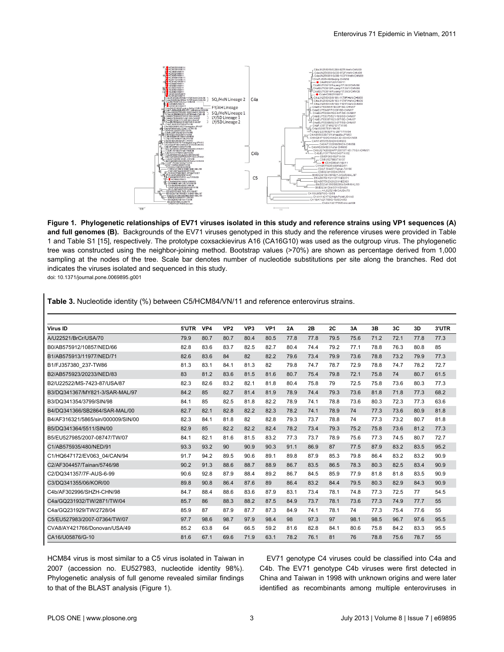<span id="page-2-0"></span>

**Figure 1. Phylogenetic relationships of EV71 viruses isolated in this study and reference strains using VP1 sequences (A) and full genomes (B).** Backgrounds of the EV71 viruses genotyped in this study and the reference viruses were provided in Table 1 and Table S1 [15], respectively. The prototype coxsackievirus A16 (CA16G10) was used as the outgroup virus. The phylogenetic tree was constructed using the neighbor-joining method. Bootstrap values (>70%) are shown as percentage derived from 1,000 sampling at the nodes of the tree. Scale bar denotes number of nucleotide substitutions per site along the branches. Red dot indicates the viruses isolated and sequenced in this study.

doi: 10.1371/journal.pone.0069895.g001

| <b>Table 3.</b> Nucleonue Identity (%) between Co/HCM04/VIN/TT and reference enterovirus strains. |       |      |                 |                 |                 |      |      |      |      |      |      |      |       |
|---------------------------------------------------------------------------------------------------|-------|------|-----------------|-----------------|-----------------|------|------|------|------|------|------|------|-------|
|                                                                                                   |       |      |                 |                 |                 |      |      |      |      |      |      |      |       |
| Virus ID                                                                                          | 5'UTR | VP4  | VP <sub>2</sub> | VP <sub>3</sub> | VP <sub>1</sub> | 2A   | 2B   | 2C   | 3A   | 3B   | 3C   | 3D   | 3'UTR |
| A/U22521/BrCr/USA/70                                                                              | 79.9  | 80.7 | 80.7            | 80.4            | 80.5            | 77.8 | 77.8 | 79.5 | 75.6 | 71.2 | 72.1 | 77.8 | 77.3  |
| B0/AB575912/10857/NED/66                                                                          | 82.8  | 83.6 | 83.7            | 82.5            | 82.7            | 80.4 | 74.4 | 79.2 | 77.1 | 78.8 | 76.3 | 80.8 | 85    |
| B1/AB575913/11977/NED/71                                                                          | 82.6  | 83.6 | 84              | 82              | 82.2            | 79.6 | 73.4 | 79.9 | 73.6 | 78.8 | 73.2 | 79.9 | 77.3  |
| B1/FJ357380 237-TW86                                                                              | 81.3  | 83.1 | 84.1            | 81.3            | 82              | 79.8 | 74.7 | 78.7 | 72.9 | 78.8 | 74.7 | 78.2 | 72.7  |
| B2/AB575923/20233/NED/83                                                                          | 83    | 81.2 | 83.6            | 81.5            | 81.6            | 80.7 | 75.4 | 79.8 | 72.1 | 75.8 | 74   | 80.7 | 61.5  |
| B2/U22522/MS-7423-87/USA/87                                                                       | 82.3  | 82.6 | 83.2            | 82.1            | 81.8            | 80.4 | 75.8 | 79   | 72.5 | 75.8 | 73.6 | 80.3 | 77.3  |
| B3/DQ341367/MY821-3/SAR-MAL/97                                                                    | 84.2  | 85   | 82.7            | 81.4            | 81.9            | 78.9 | 74.4 | 79.3 | 73.6 | 81.8 | 71.8 | 77.3 | 68.2  |
| B3/DQ341354/3799/SIN/98                                                                           | 84.1  | 85   | 82.5            | 81.8            | 82.2            | 78.9 | 74.1 | 78.8 | 73.6 | 80.3 | 72.3 | 77.3 | 63.6  |
| B4/DQ341366/SB2864/SAR-MAL/00                                                                     | 82.7  | 82.1 | 82.8            | 82.2            | 82.3            | 78.2 | 74.1 | 78.9 | 74   | 77.3 | 73.6 | 80.9 | 81.8  |
| B4/AF316321/5865/sin/000009/SIN/00                                                                | 82.3  | 84.1 | 81.8            | 82              | 82.8            | 79.3 | 73.7 | 78.8 | 74   | 77.3 | 73.2 | 80.7 | 81.8  |
| B5/DQ341364/5511/SIN/00                                                                           | 82.9  | 85   | 82.2            | 82.2            | 82.4            | 78.2 | 73.4 | 79.3 | 75.2 | 75.8 | 73.6 | 81.2 | 77.3  |
| B5/EU527985/2007-08747/TW/07                                                                      | 84.1  | 82.1 | 81.6            | 81.5            | 83.2            | 77.3 | 73.7 | 78.9 | 75.6 | 77.3 | 74.5 | 80.7 | 72.7  |
| C1/AB575935/480/NED/91                                                                            | 93.3  | 93.2 | 90              | 90.9            | 90.3            | 91.1 | 86.9 | 87   | 77.5 | 87.9 | 83.2 | 83.5 | 95.2  |
| C1/HQ647172/EV063 04/CAN/94                                                                       | 91.7  | 94.2 | 89.5            | 90.6            | 89.1            | 89.8 | 87.9 | 85.3 | 79.8 | 86.4 | 83.2 | 83.2 | 90.9  |
| C2/AF304457/Tainan/5746/98                                                                        | 90.2  | 91.3 | 88.6            | 88.7            | 88.9            | 86.7 | 83.5 | 86.5 | 78.3 | 80.3 | 82.5 | 83.4 | 90.9  |
| C2/DQ341357/7F-AUS-6-99                                                                           | 90.6  | 92.8 | 87.9            | 88.4            | 89.2            | 86.7 | 84.5 | 85.9 | 77.9 | 81.8 | 81.8 | 83.5 | 90.9  |
| C3/DQ341355/06/KOR/00                                                                             | 89.8  | 90.8 | 86.4            | 87.6            | 89              | 86.4 | 83.2 | 84.4 | 79.5 | 80.3 | 82.9 | 84.3 | 90.9  |
| C4b/AF302996/SHZH-CHN/98                                                                          | 84.7  | 88.4 | 88.6            | 83.6            | 87.9            | 83.1 | 73.4 | 78.1 | 74.8 | 77.3 | 72.5 | 77   | 54.5  |
| C4a/GQ231932/TW/2871/TW/04                                                                        | 85.7  | 86   | 88.3            | 88.2            | 87.5            | 84.9 | 73.7 | 78.1 | 73.6 | 77.3 | 74.9 | 77.7 | 55    |
| C4a/GQ231929/TW/2728/04                                                                           | 85.9  | 87   | 87.9            | 87.7            | 87.3            | 84.9 | 74.1 | 78.1 | 74   | 77.3 | 75.4 | 77.6 | 55    |
| C5/EU527983/2007-07364/TW/07                                                                      | 97.7  | 98.6 | 98.7            | 97.9            | 98.4            | 98   | 97.3 | 97   | 98.1 | 98.5 | 96.7 | 97.6 | 95.5  |
| CVA8/AY421766/Donovan/USA/49                                                                      | 85.2  | 63.8 | 64              | 66.5            | 59.2            | 81.6 | 82.8 | 84.1 | 80.6 | 75.8 | 84.2 | 83.3 | 95.5  |
| CA16/U05876/G-10                                                                                  | 81.6  | 67.1 | 69.6            | 71.9            | 63.1            | 78.2 | 76.1 | 81   | 76   | 78.8 | 75.6 | 78.7 | 55    |

**Table 3.** Nucleotide identity (%) between C5/HCM84/VN/11 and reference enterovirus strains.

HCM84 virus is most similar to a C5 virus isolated in Taiwan in 2007 (accession no. EU527983, nucleotide identity 98%). Phylogenetic analysis of full genome revealed similar findings to that of the BLAST analysis (Figure 1).

EV71 genotype C4 viruses could be classified into C4a and C4b. The EV71 genotype C4b viruses were first detected in China and Taiwan in 1998 with unknown origins and were later identified as recombinants among multiple enteroviruses in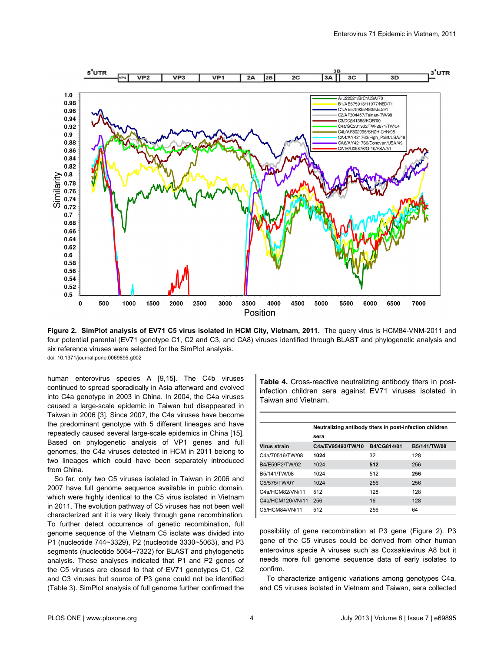<span id="page-3-0"></span>

**Figure 2. SimPlot analysis of EV71 C5 virus isolated in HCM City, Vietnam, 2011.** The query virus is HCM84-VNM-2011 and four potential parental (EV71 genotype C1, C2 and C3, and CA8) viruses identified through BLAST and phylogenetic analysis and six reference viruses were selected for the SimPlot analysis. doi: 10.1371/journal.pone.0069895.g002

human enterovirus species A [\[9,15\]](#page-5-0). The C4b viruses continued to spread sporadically in Asia afterward and evolved into C4a genotype in 2003 in China. In 2004, the C4a viruses caused a large-scale epidemic in Taiwan but disappeared in Taiwan in 2006 [\[3](#page-4-0)]. Since 2007, the C4a viruses have become the predominant genotype with 5 different lineages and have repeatedly caused several large-scale epidemics in China [\[15\]](#page-5-0). Based on phylogenetic analysis of VP1 genes and full genomes, the C4a viruses detected in HCM in 2011 belong to two lineages which could have been separately introduced from China.

So far, only two C5 viruses isolated in Taiwan in 2006 and 2007 have full genome sequence available in public domain, which were highly identical to the C5 virus isolated in Vietnam in 2011. The evolution pathway of C5 viruses has not been well characterized ant it is very likely through gene recombination. To further detect occurrence of genetic recombination, full genome sequence of the Vietnam C5 isolate was divided into P1 (nucleotide 744~3329), P2 (nucleotide 3330~5063), and P3 segments (nucleotide 5064~7322) for BLAST and phylogenetic analysis. These analyses indicated that P1 and P2 genes of the C5 viruses are closed to that of EV71 genotypes C1, C2 and C3 viruses but source of P3 gene could not be identified [\(Table 3\).](#page-2-0) SimPlot analysis of full genome further confirmed the

**Table 4.** Cross-reactive neutralizing antibody titers in postinfection children sera against EV71 viruses isolated in Taiwan and Vietnam.

|                  | Neutralizing antibody titers in post-infection children |             |              |  |  |  |  |  |
|------------------|---------------------------------------------------------|-------------|--------------|--|--|--|--|--|
|                  | sera                                                    |             |              |  |  |  |  |  |
| Virus strain     | C4a/EV95493/TW/10                                       | B4/CG814/01 | B5/141/TW/08 |  |  |  |  |  |
| C4a/70516/TW/08  | 1024                                                    | 32          | 128          |  |  |  |  |  |
| B4/E59P2/TW/02   | 1024                                                    | 512         | 256          |  |  |  |  |  |
| B5/141/TW/08     | 1024                                                    | 512         | 256          |  |  |  |  |  |
| C5/575/TW/07     | 1024                                                    | 256         | 256          |  |  |  |  |  |
| C4a/HCM82/NN/11  | 512                                                     | 128         | 128          |  |  |  |  |  |
| C4a/HCM120/VN/11 | 256                                                     | 16          | 128          |  |  |  |  |  |
| C5/HCM84/VN/11   | 512                                                     | 256         | 64           |  |  |  |  |  |

possibility of gene recombination at P3 gene (Figure 2). P3 gene of the C5 viruses could be derived from other human enterovirus specie A viruses such as Coxsakievirus A8 but it needs more full genome sequence data of early isolates to confirm.

To characterize antigenic variations among genotypes C4a, and C5 viruses isolated in Vietnam and Taiwan, sera collected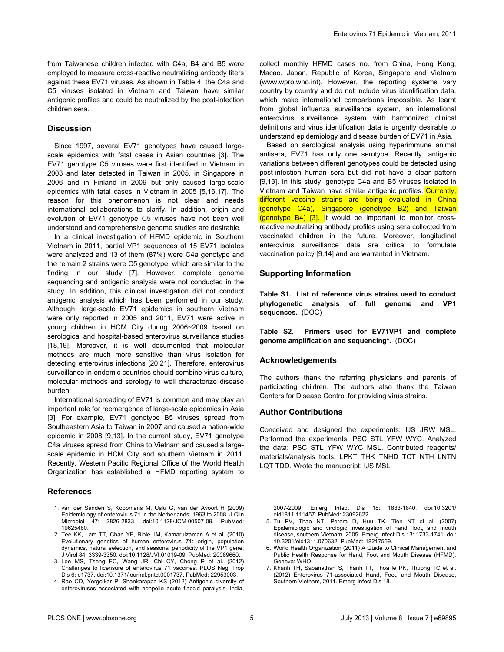<span id="page-4-0"></span>from Taiwanese children infected with C4a, B4 and B5 were employed to measure cross-reactive neutralizing antibody titers against these EV71 viruses. As shown in [Table 4](#page-3-0), the C4a and C5 viruses isolated in Vietnam and Taiwan have similar antigenic profiles and could be neutralized by the post-infection children sera.

# **Discussion**

Since 1997, several EV71 genotypes have caused largescale epidemics with fatal cases in Asian countries [3]. The EV71 genotype C5 viruses were first identified in Vietnam in 2003 and later detected in Taiwan in 2005, in Singapore in 2006 and in Finland in 2009 but only caused large-scale epidemics with fatal cases in Vietnam in 2005 [5[,16,17](#page-5-0)]. The reason for this phenomenon is not clear and needs international collaborations to clarify. In addition, origin and evolution of EV71 genotype C5 viruses have not been well understood and comprehensive genome studies are desirable.

In a clinical investigation of HFMD epidemic in Southern Vietnam in 2011, partial VP1 sequences of 15 EV71 isolates were analyzed and 13 of them (87%) were C4a genotype and the remain 2 strains were C5 genotype, which are similar to the finding in our study [7]. However, complete genome sequencing and antigenic analysis were not conducted in the study. In addition, this clinical investigation did not conduct antigenic analysis which has been performed in our study. Although, large-scale EV71 epidemics in southern Vietnam were only reported in 2005 and 2011, EV71 were active in young children in HCM City during 2006~2009 based on serological and hospital-based enterovirus surveillance studies [[18](#page-5-0),[19](#page-5-0)]. Moreover, it is well documented that molecular methods are much more sensitive than virus isolation for detecting enterovirus infections [[20,21\]](#page-5-0). Therefore, enterovirus surveillance in endemic countries should combine virus culture, molecular methods and serology to well characterize disease burden.

International spreading of EV71 is common and may play an important role for reemergence of large-scale epidemics in Asia [3]. For example, EV71 genotype B5 viruses spread from Southeastern Asia to Taiwan in 2007 and caused a nation-wide epidemic in 2008 [\[9,13\]](#page-5-0). In the current study, EV71 genotype C4a viruses spread from China to Vietnam and caused a largescale epidemic in HCM City and southern Vietnam in 2011. Recently, Western Pacific Regional Office of the World Health Organization has established a HFMD reporting system to

#### **References**

- 1. van der Sanden S, Koopmans M, Uslu G, van der Avoort H (2009) Epidemiology of enterovirus 71 in the Netherlands, 1963 to 2008. J Clin Microbiol 47: 2826-2833. doi:[10.1128/JCM.00507-09.](http://dx.doi.org/10.1128/JCM.00507-09) PubMed: [19625480.](http://www.ncbi.nlm.nih.gov/pubmed/19625480)
- 2. Tee KK, Lam TT, Chan YF, Bible JM, Kamarulzaman A et al. (2010) Evolutionary genetics of human enterovirus 71: origin, population dynamics, natural selection, and seasonal periodicity of the VP1 gene. J Virol 84: 3339-3350. doi[:10.1128/JVI.01019-09](http://dx.doi.org/10.1128/JVI.01019-09). PubMed: [20089660](http://www.ncbi.nlm.nih.gov/pubmed/20089660).
- 3. Lee MS, Tseng FC, Wang JR, Chi CY, Chong P et al. (2012) Challenges to licensure of enterovirus 71 vaccines. PLOS Negl Trop Dis 6: e1737. doi[:10.1371/journal.pntd.0001737](http://dx.doi.org/10.1371/journal.pntd.0001737). PubMed: [22953003](http://www.ncbi.nlm.nih.gov/pubmed/22953003).
- 4. Rao CD, Yergolkar P, Shankarappa KS (2012) Antigenic diversity of enteroviruses associated with nonpolio acute flaccid paralysis, India,

collect monthly HFMD cases no. from China, Hong Kong, Macao, Japan, Republic of Korea, Singapore and Vietnam (www.wpro.who.int). However, the reporting systems vary country by country and do not include virus identification data, which make international comparisons impossible. As learnt from global influenza surveillance system, an international enterovirus surveillance system with harmonized clinical definitions and virus identification data is urgently desirable to understand epidemiology and disease burden of EV71 in Asia.

Based on serological analysis using hyperimmune animal antisera, EV71 has only one serotype. Recently, antigenic variations between different genotypes could be detected using post-infection human sera but did not have a clear pattern [[9,13](#page-5-0)]. In this study, genotype C4a and B5 viruses isolated in Vietnam and Taiwan have similar antigenic profiles. Currently, different vaccine strains are being evaluated in China (genotype C4a), Singapore (genotype B2) and Taiwan (genotype B4) [3]. It would be important to monitor crossreactive neutralizing antibody profiles using sera collected from vaccinated children in the future. Moreover, longitudinal enterovirus surveillance data are critical to formulate vaccination policy [[9,14](#page-5-0)] and are warranted in Vietnam.

## **Supporting Information**

**Table S1. List of reference virus strains used to conduct phylogenetic analysis of full genome and VP1 sequences.** (DOC)

**Table S2. Primers used for EV71VP1 and complete genome amplification and sequencing\*.** (DOC)

## **Acknowledgements**

The authors thank the referring physicians and parents of participating children. The authors also thank the Taiwan Centers for Disease Control for providing virus strains.

## **Author Contributions**

Conceived and designed the experiments: IJS JRW MSL. Performed the experiments: PSC STL YFW WYC. Analyzed the data: PSC STL YFW WYC MSL. Contributed reagents/ materials/analysis tools: LPKT THK TNHD TCT NTH LNTN LQT TDD. Wrote the manuscript: IJS MSL.

2007-2009. Emerg Infect Dis 18: 1833-1840. doi[:10.3201/](http://dx.doi.org/10.3201/eid1811.111457) [eid1811.111457.](http://dx.doi.org/10.3201/eid1811.111457) PubMed: [23092622.](http://www.ncbi.nlm.nih.gov/pubmed/23092622)

- 5. Tu PV, Thao NT, Perera D, Huu TK, Tien NT et al. (2007) Epidemiologic and virologic investigation of hand, foot, and mouth disease, southern Vietnam, 2005. Emerg Infect Dis 13: 1733-1741. doi: [10.3201/eid1311.070632.](http://dx.doi.org/10.3201/eid1311.070632) PubMed: [18217559.](http://www.ncbi.nlm.nih.gov/pubmed/18217559)
- 6. World Health Organization (2011) A Guide to Clinical Management and Public Health Response for Hand, Foot and Mouth Disease (HFMD). Geneva: WHO.
- 7. Khanh TH, Sabanathan S, Thanh TT, Thoa le PK, Thuong TC et al. (2012) Enterovirus 71-associated Hand, Foot, and Mouth Disease, Southern Vietnam, 2011. Emerg Infect Dis 18.